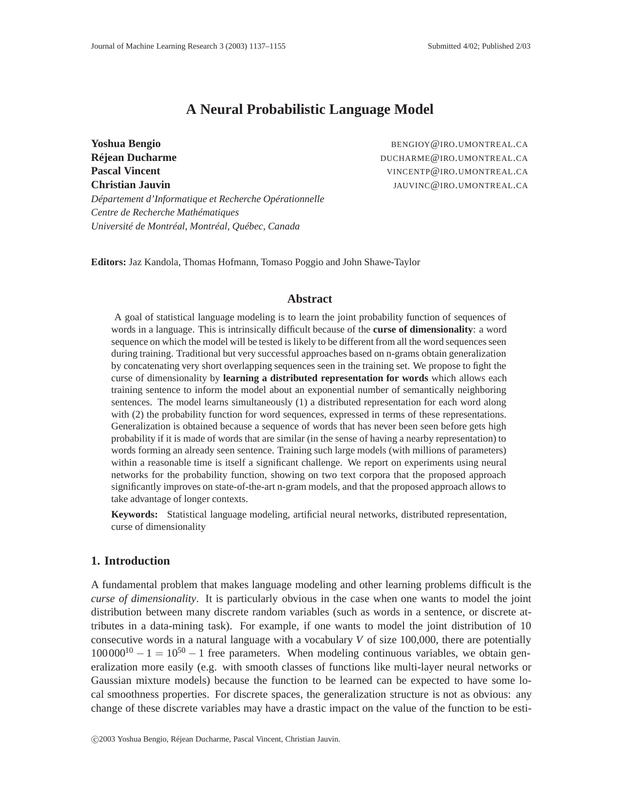# **A Neural Probabilistic Language Model**

**Réjean Ducharme DUCHARME@IRO.UMONTREAL.CA Pascal Vincent** VINCENTP@IRO.UMONTREAL.CA **Christian Jauvin Christian Jauvine Christian Jauvine Christian Jauvine Christian Jauvine Christian Jauvine Christian Jauvine Christian Jauvine Christian Jauvine Christian Jauvine Christian Jauvine Christian Jauvine Chri** *Département d'Informatique et Recherche Opérationnelle Centre de Recherche Mathématiques Université de Montréal, Montréal, Québec, Canada*

**Yoshua Bengio** BENGIOY **BENGIOY BENGIOY BENGIOY BENGIOY BENGIOY BENGIOY BENGIOY BENGIOY BENGIOY BENGIOY BENGIOY BENGIOY BENGIOY BENGIOY BENGIOY BENGIOY BENGIOY BENGIOY BENGIOY BENGIOY** 

**Editors:** Jaz Kandola, Thomas Hofmann, Tomaso Poggio and John Shawe-Taylor

#### **Abstract**

A goal of statistical language modeling is to learn the joint probability function of sequences of words in a language. This is intrinsically difficult because of the **curse of dimensionality**: a word sequence on which the model will be tested is likely to be different from all the word sequences seen during training. Traditional but very successful approaches based on n-grams obtain generalization by concatenating very short overlapping sequences seen in the training set. We propose to fight the curse of dimensionality by **learning a distributed representation for words** which allows each training sentence to inform the model about an exponential number of semantically neighboring sentences. The model learns simultaneously (1) a distributed representation for each word along with (2) the probability function for word sequences, expressed in terms of these representations. Generalization is obtained because a sequence of words that has never been seen before gets high probability if it is made of words that are similar (in the sense of having a nearby representation) to words forming an already seen sentence. Training such large models (with millions of parameters) within a reasonable time is itself a significant challenge. We report on experiments using neural networks for the probability function, showing on two text corpora that the proposed approach significantly improves on state-of-the-art n-gram models, and that the proposed approach allows to take advantage of longer contexts.

**Keywords:** Statistical language modeling, artificial neural networks, distributed representation, curse of dimensionality

### **1. Introduction**

A fundamental problem that makes language modeling and other learning problems difficult is the *curse of dimensionality*. It is particularly obvious in the case when one wants to model the joint distribution between many discrete random variables (such as words in a sentence, or discrete attributes in a data-mining task). For example, if one wants to model the joint distribution of 10 consecutive words in a natural language with a vocabulary *V* of size 100,000, there are potentially  $100000^{10} - 1 = 10^{50} - 1$  free parameters. When modeling continuous variables, we obtain generalization more easily (e.g. with smooth classes of functions like multi-layer neural networks or Gaussian mixture models) because the function to be learned can be expected to have some local smoothness properties. For discrete spaces, the generalization structure is not as obvious: any change of these discrete variables may have a drastic impact on the value of the function to be esti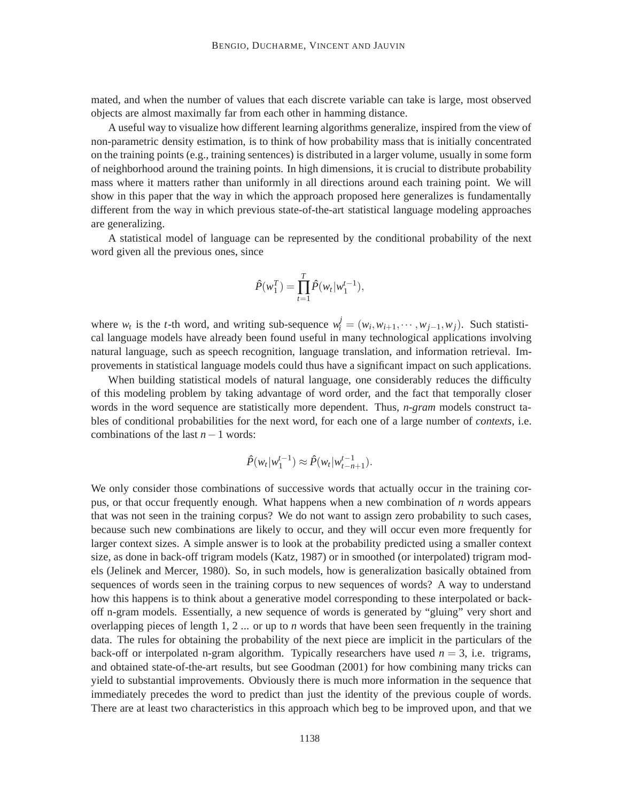mated, and when the number of values that each discrete variable can take is large, most observed objects are almost maximally far from each other in hamming distance.

A useful way to visualize how different learning algorithms generalize, inspired from the view of non-parametric density estimation, is to think of how probability mass that is initially concentrated on the training points (e.g., training sentences) is distributed in a larger volume, usually in some form of neighborhood around the training points. In high dimensions, it is crucial to distribute probability mass where it matters rather than uniformly in all directions around each training point. We will show in this paper that the way in which the approach proposed here generalizes is fundamentally different from the way in which previous state-of-the-art statistical language modeling approaches are generalizing.

A statistical model of language can be represented by the conditional probability of the next word given all the previous ones, since

$$
\hat{P}(w_1^T) = \prod_{t=1}^T \hat{P}(w_t|w_1^{t-1}),
$$

where  $w_t$  is the *t*-th word, and writing sub-sequence  $w_t^j = (w_i, w_{i+1}, \dots, w_{j-1}, w_j)$ . Such statistical language models have already been found useful in many technological applications involving natural language, such as speech recognition, language translation, and information retrieval. Improvements in statistical language models could thus have a significant impact on such applications.

When building statistical models of natural language, one considerably reduces the difficulty of this modeling problem by taking advantage of word order, and the fact that temporally closer words in the word sequence are statistically more dependent. Thus, *n-gram* models construct tables of conditional probabilities for the next word, for each one of a large number of *contexts*, i.e. combinations of the last *n*−1 words:

$$
\hat{P}(w_t|w_1^{t-1}) \approx \hat{P}(w_t|w_{t-n+1}^{t-1}).
$$

We only consider those combinations of successive words that actually occur in the training corpus, or that occur frequently enough. What happens when a new combination of *n* words appears that was not seen in the training corpus? We do not want to assign zero probability to such cases, because such new combinations are likely to occur, and they will occur even more frequently for larger context sizes. A simple answer is to look at the probability predicted using a smaller context size, as done in back-off trigram models (Katz, 1987) or in smoothed (or interpolated) trigram models (Jelinek and Mercer, 1980). So, in such models, how is generalization basically obtained from sequences of words seen in the training corpus to new sequences of words? A way to understand how this happens is to think about a generative model corresponding to these interpolated or backoff n-gram models. Essentially, a new sequence of words is generated by "gluing" very short and overlapping pieces of length 1, 2  $\ldots$  or up to *n* words that have been seen frequently in the training data. The rules for obtaining the probability of the next piece are implicit in the particulars of the back-off or interpolated n-gram algorithm. Typically researchers have used  $n = 3$ , i.e. trigrams, and obtained state-of-the-art results, but see Goodman (2001) for how combining many tricks can yield to substantial improvements. Obviously there is much more information in the sequence that immediately precedes the word to predict than just the identity of the previous couple of words. There are at least two characteristics in this approach which beg to be improved upon, and that we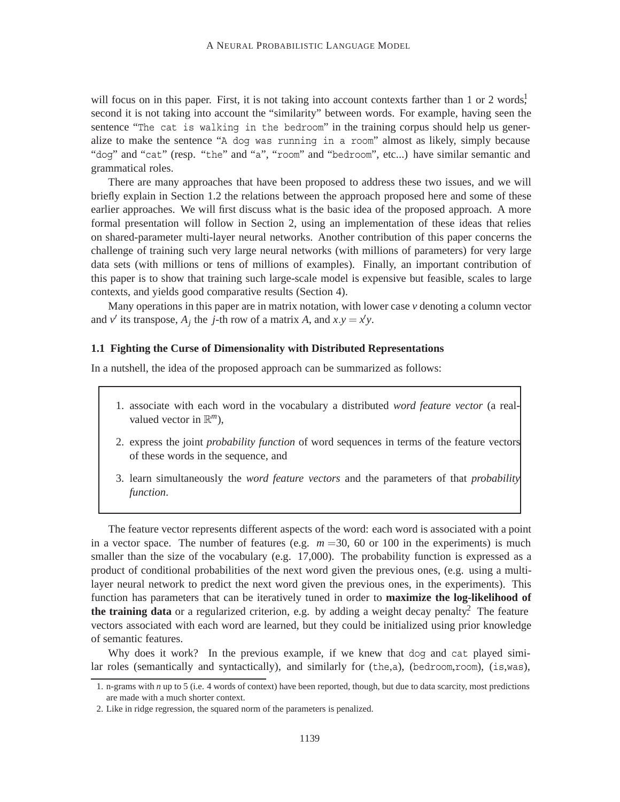will focus on in this paper. First, it is not taking into account contexts farther than 1 or 2 words, second it is not taking into account the "similarity" between words. For example, having seen the sentence "The cat is walking in the bedroom" in the training corpus should help us generalize to make the sentence "A dog was running in a room" almost as likely, simply because "dog" and "cat" (resp. "the" and "a", "room" and "bedroom", etc...) have similar semantic and grammatical roles.

There are many approaches that have been proposed to address these two issues, and we will briefly explain in Section 1.2 the relations between the approach proposed here and some of these earlier approaches. We will first discuss what is the basic idea of the proposed approach. A more formal presentation will follow in Section 2, using an implementation of these ideas that relies on shared-parameter multi-layer neural networks. Another contribution of this paper concerns the challenge of training such very large neural networks (with millions of parameters) for very large data sets (with millions or tens of millions of examples). Finally, an important contribution of this paper is to show that training such large-scale model is expensive but feasible, scales to large contexts, and yields good comparative results (Section 4).

Many operations in this paper are in matrix notation, with lower case *v* denoting a column vector and *v*<sup> $\prime$ </sup> its transpose,  $A_j$  the *j*-th row of a matrix  $A$ , and  $x \cdot y = x'y$ .

#### **1.1 Fighting the Curse of Dimensionality with Distributed Representations**

In a nutshell, the idea of the proposed approach can be summarized as follows:

- 1. associate with each word in the vocabulary a distributed *word feature vector* (a realvalued vector in  $\mathbb{R}^m$ ),
- 2. express the joint *probability function* of word sequences in terms of the feature vectors of these words in the sequence, and
- 3. learn simultaneously the *word feature vectors* and the parameters of that *probability function*.

The feature vector represents different aspects of the word: each word is associated with a point in a vector space. The number of features (e.g.  $m = 30$ , 60 or 100 in the experiments) is much smaller than the size of the vocabulary (e.g. 17,000). The probability function is expressed as a product of conditional probabilities of the next word given the previous ones, (e.g. using a multilayer neural network to predict the next word given the previous ones, in the experiments). This function has parameters that can be iteratively tuned in order to **maximize the log-likelihood of the training data** or a regularized criterion, e.g. by adding a weight decay penalty.<sup>2</sup> The feature vectors associated with each word are learned, but they could be initialized using prior knowledge of semantic features.

Why does it work? In the previous example, if we knew that dog and cat played similar roles (semantically and syntactically), and similarly for (the,a), (bedroom,room), (is,was),

<sup>1.</sup> n-grams with *n* up to 5 (i.e. 4 words of context) have been reported, though, but due to data scarcity, most predictions are made with a much shorter context.

<sup>2.</sup> Like in ridge regression, the squared norm of the parameters is penalized.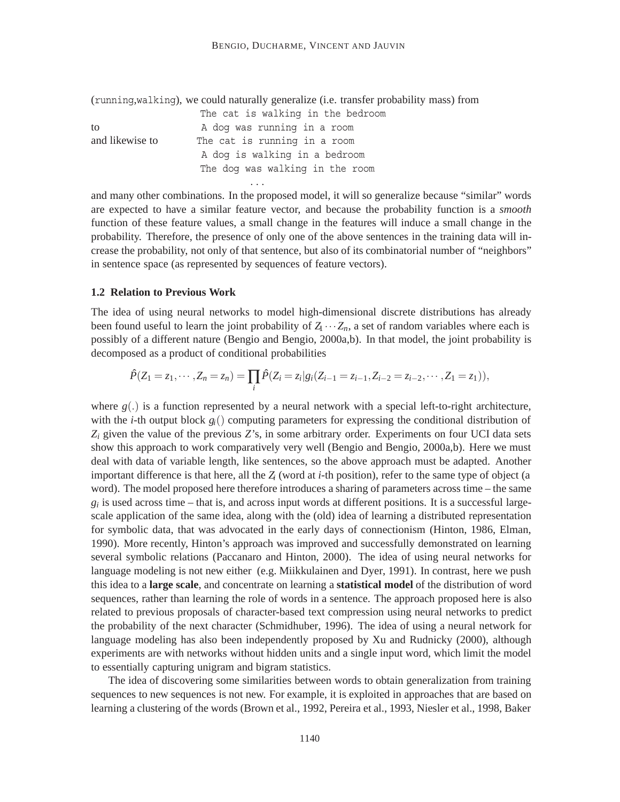(running,walking), we could naturally generalize (i.e. transfer probability mass) from

|                 | The cat is walking in the bedroom |  |  |  |  |  |
|-----------------|-----------------------------------|--|--|--|--|--|
| to              | A dog was running in a room       |  |  |  |  |  |
| and likewise to | The cat is running in a room      |  |  |  |  |  |
|                 | A dog is walking in a bedroom     |  |  |  |  |  |
|                 | The dog was walking in the room   |  |  |  |  |  |
|                 |                                   |  |  |  |  |  |

...

and many other combinations. In the proposed model, it will so generalize because "similar" words are expected to have a similar feature vector, and because the probability function is a *smooth* function of these feature values, a small change in the features will induce a small change in the probability. Therefore, the presence of only one of the above sentences in the training data will increase the probability, not only of that sentence, but also of its combinatorial number of "neighbors" in sentence space (as represented by sequences of feature vectors).

### **1.2 Relation to Previous Work**

The idea of using neural networks to model high-dimensional discrete distributions has already been found useful to learn the joint probability of  $Z \cdots Z_n$ , a set of random variables where each is possibly of a different nature (Bengio and Bengio, 2000a,b). In that model, the joint probability is decomposed as a product of conditional probabilities

$$
\hat{P}(Z_1 = z_1, \cdots, Z_n = z_n) = \prod_i \hat{P}(Z_i = z_i | g_i(Z_{i-1} = z_{i-1}, Z_{i-2} = z_{i-2}, \cdots, Z_1 = z_1)),
$$

where  $g(.)$  is a function represented by a neural network with a special left-to-right architecture, with the *i*-th output block  $g_i()$  computing parameters for expressing the conditional distribution of *Zi* given the value of the previous *Z*'s, in some arbitrary order. Experiments on four UCI data sets show this approach to work comparatively very well (Bengio and Bengio, 2000a,b). Here we must deal with data of variable length, like sentences, so the above approach must be adapted. Another important difference is that here, all the *Zi* (word at *i*-th position), refer to the same type of object (a word). The model proposed here therefore introduces a sharing of parameters across time – the same  $g_i$  is used across time – that is, and across input words at different positions. It is a successful largescale application of the same idea, along with the (old) idea of learning a distributed representation for symbolic data, that was advocated in the early days of connectionism (Hinton, 1986, Elman, 1990). More recently, Hinton's approach was improved and successfully demonstrated on learning several symbolic relations (Paccanaro and Hinton, 2000). The idea of using neural networks for language modeling is not new either (e.g. Miikkulainen and Dyer, 1991). In contrast, here we push this idea to a **large scale**, and concentrate on learning a **statistical model** of the distribution of word sequences, rather than learning the role of words in a sentence. The approach proposed here is also related to previous proposals of character-based text compression using neural networks to predict the probability of the next character (Schmidhuber, 1996). The idea of using a neural network for language modeling has also been independently proposed by Xu and Rudnicky (2000), although experiments are with networks without hidden units and a single input word, which limit the model to essentially capturing unigram and bigram statistics.

The idea of discovering some similarities between words to obtain generalization from training sequences to new sequences is not new. For example, it is exploited in approaches that are based on learning a clustering of the words (Brown et al., 1992, Pereira et al., 1993, Niesler et al., 1998, Baker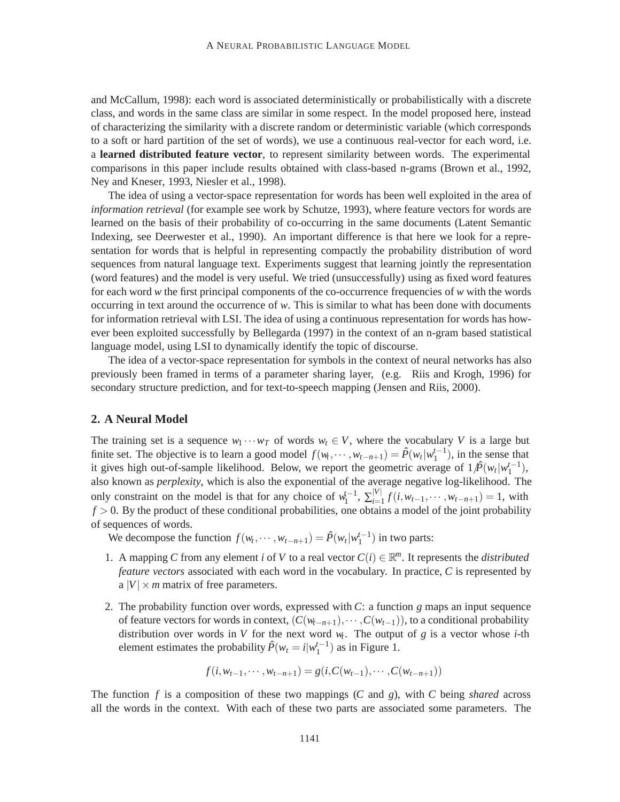and McCallum, 1998): each word is associated deterministically or probabilistically with a discrete class, and words in the same class are similar in some respect. In the model proposed here, instead of characterizing the similarity with a discrete random or deterministic variable (which corresponds to a soft or hard partition of the set of words), we use a continuous real-vector for each word, i.e. a **learned distributed feature vector**, to represent similarity between words. The experimental comparisons in this paper include results obtained with class-based n-grams (Brown et al., 1992, Ney and Kneser, 1993, Niesler et al., 1998).

The idea of using a vector-space representation for words has been well exploited in the area of *information retrieval* (for example see work by Schutze, 1993), where feature vectors for words are learned on the basis of their probability of co-occurring in the same documents (Latent Semantic Indexing, see Deerwester et al., 1990). An important difference is that here we look for a representation for words that is helpful in representing compactly the probability distribution of word sequences from natural language text. Experiments suggest that learning jointly the representation (word features) and the model is very useful. We tried (unsuccessfully) using as fixed word features for each word *w* the first principal components of the co-occurrence frequencies of *w* with the words occurring in text around the occurrence of *w*. This is similar to what has been done with documents for information retrieval with LSI. The idea of using a continuous representation for words has however been exploited successfully by Bellegarda (1997) in the context of an n-gram based statistical language model, using LSI to dynamically identify the topic of discourse.

The idea of a vector-space representation for symbols in the context of neural networks has also previously been framed in terms of a parameter sharing layer, (e.g. Riis and Krogh, 1996) for secondary structure prediction, and for text-to-speech mapping (Jensen and Riis, 2000).

#### **2. A Neural Model**

The training set is a sequence  $w_1 \cdots w_T$  of words  $w_t \in V$ , where the vocabulary *V* is a large but finite set. The objective is to learn a good model  $f(w_t, \dots, w_{t-n+1}) = \hat{P}(w_t|w_1^{t-1})$ , in the sense that it gives high out-of-sample likelihood. Below, we report the geometric average of  $1/\hat{P}(w_t|w_1^{t-1})$ , also known as *perplexity*, which is also the exponential of the average negative log-likelihood. The only constraint on the model is that for any choice of  $w_1^{t-1}$ ,  $\sum_{i=1}^{|V|} f(i, w_{t-1}, \dots, w_{t-n+1}) = 1$ , with  $f > 0$ . By the product of these conditional probabilities, one obtains a model of the joint probability of sequences of words.

We decompose the function  $f(w_t, \dots, w_{t-n+1}) = \hat{P}(w_t|w_1^{t-1})$  in two parts:

- 1. A mapping *C* from any element *i* of *V* to a real vector  $C(i) \in \mathbb{R}^m$ . It represents the *distributed feature vectors* associated with each word in the vocabulary. In practice, *C* is represented by a  $|V| \times m$  matrix of free parameters.
- 2. The probability function over words, expressed with *C*: a function *g* maps an input sequence of feature vectors for words in context, (*C*(*wt*−*n*+1)*,*··· *,C*(*wt*−1)), to a conditional probability distribution over words in *V* for the next word  $w_t$ . The output of *g* is a vector whose *i*-th element estimates the probability  $\hat{P}(w_t = i|w_1^{t-1})$  as in Figure 1.

$$
f(i, w_{t-1}, \cdots, w_{t-n+1}) = g(i, C(w_{t-1}), \cdots, C(w_{t-n+1}))
$$

The function *f* is a composition of these two mappings (*C* and *g*), with *C* being *shared* across all the words in the context. With each of these two parts are associated some parameters. The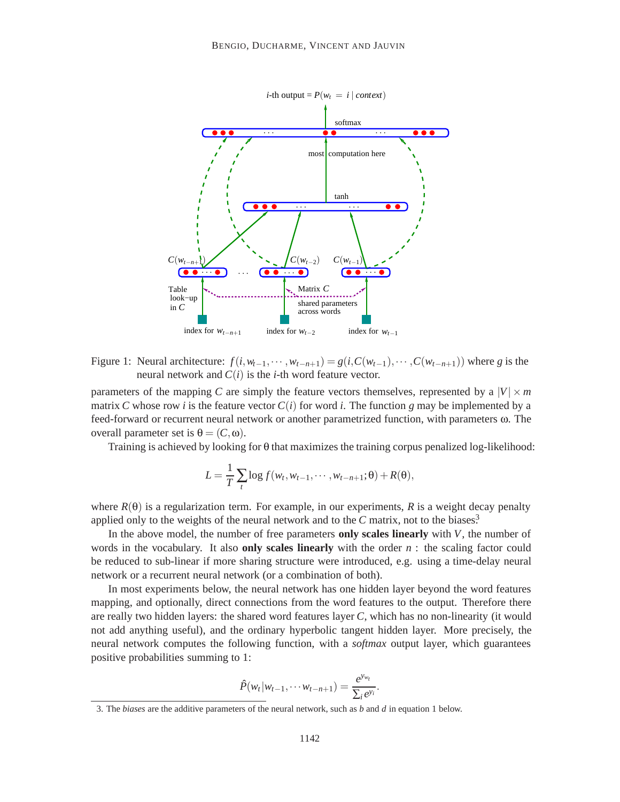

Figure 1: Neural architecture:  $f(i, w_{t-1}, \dots, w_{t-n+1}) = g(i, C(w_{t-1}), \dots, C(w_{t-n+1}))$  where g is the neural network and  $C(i)$  is the *i*-th word feature vector.

parameters of the mapping *C* are simply the feature vectors themselves, represented by a  $|V| \times m$ matrix *C* whose row *i* is the feature vector  $C(i)$  for word *i*. The function *g* may be implemented by a feed-forward or recurrent neural network or another parametrized function, with parameters ω. The overall parameter set is  $θ = (C, ω)$ .

Training is achieved by looking for θ that maximizes the training corpus penalized log-likelihood:

$$
L = \frac{1}{T} \sum_{t} \log f(w_t, w_{t-1}, \cdots, w_{t-n+1}; \theta) + R(\theta),
$$

where  $R(\theta)$  is a regularization term. For example, in our experiments, R is a weight decay penalty applied only to the weights of the neural network and to the  $C$  matrix, not to the biases.<sup>3</sup>

In the above model, the number of free parameters **only scales linearly** with *V*, the number of words in the vocabulary. It also **only scales linearly** with the order *n* : the scaling factor could be reduced to sub-linear if more sharing structure were introduced, e.g. using a time-delay neural network or a recurrent neural network (or a combination of both).

In most experiments below, the neural network has one hidden layer beyond the word features mapping, and optionally, direct connections from the word features to the output. Therefore there are really two hidden layers: the shared word features layer *C*, which has no non-linearity (it would not add anything useful), and the ordinary hyperbolic tangent hidden layer. More precisely, the neural network computes the following function, with a *softmax* output layer, which guarantees positive probabilities summing to 1:

$$
\hat{P}(w_t|w_{t-1},\cdots w_{t-n+1})=\frac{e^{y_{w_t}}}{\sum_i e^{y_i}}.
$$

<sup>3.</sup> The *biases* are the additive parameters of the neural network, such as *b* and *d* in equation 1 below.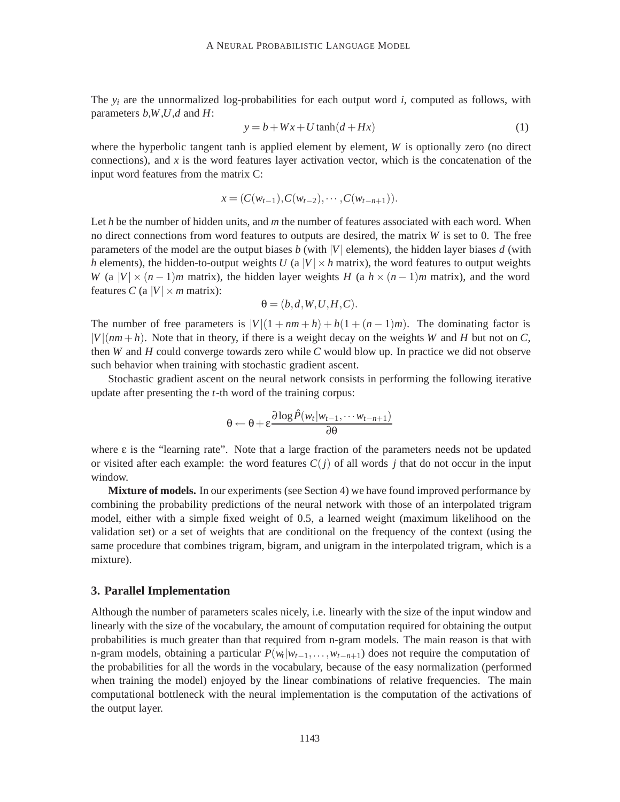The  $y_i$  are the unnormalized log-probabilities for each output word  $i$ , computed as follows, with parameters *b*,*W*,*U*,*d* and *H*:

$$
y = b + Wx + U \tanh(d + Hx)
$$
 (1)

where the hyperbolic tangent tanh is applied element by element, *W* is optionally zero (no direct connections), and  $x$  is the word features layer activation vector, which is the concatenation of the input word features from the matrix C:

$$
x = (C(w_{t-1}), C(w_{t-2}), \cdots, C(w_{t-n+1})).
$$

Let *h* be the number of hidden units, and *m* the number of features associated with each word. When no direct connections from word features to outputs are desired, the matrix *W* is set to 0. The free parameters of the model are the output biases  $b$  (with  $|V|$  elements), the hidden layer biases  $d$  (with *h* elements), the hidden-to-output weights *U* (a  $|V| \times h$  matrix), the word features to output weights *W* (a  $|V| \times (n-1)m$  matrix), the hidden layer weights *H* (a  $h \times (n-1)m$  matrix), and the word features *C* (a  $|V| \times m$  matrix):

$$
\theta = (b, d, W, U, H, C).
$$

The number of free parameters is  $|V|(1 + nm + h) + h(1 + (n - 1)m)$ . The dominating factor is  $|V|(nm+h)$ . Note that in theory, if there is a weight decay on the weights *W* and *H* but not on *C*, then *W* and *H* could converge towards zero while *C* would blow up. In practice we did not observe such behavior when training with stochastic gradient ascent.

Stochastic gradient ascent on the neural network consists in performing the following iterative update after presenting the *t*-th word of the training corpus:

$$
\theta \leftarrow \theta + \varepsilon \frac{\partial \log \hat{P}(w_t|w_{t-1}, \cdots w_{t-n+1})}{\partial \theta}
$$

where  $\varepsilon$  is the "learning rate". Note that a large fraction of the parameters needs not be updated or visited after each example: the word features  $C(i)$  of all words *j* that do not occur in the input window.

**Mixture of models.** In our experiments (see Section 4) we have found improved performance by combining the probability predictions of the neural network with those of an interpolated trigram model, either with a simple fixed weight of 0.5, a learned weight (maximum likelihood on the validation set) or a set of weights that are conditional on the frequency of the context (using the same procedure that combines trigram, bigram, and unigram in the interpolated trigram, which is a mixture).

## **3. Parallel Implementation**

Although the number of parameters scales nicely, i.e. linearly with the size of the input window and linearly with the size of the vocabulary, the amount of computation required for obtaining the output probabilities is much greater than that required from n-gram models. The main reason is that with n-gram models, obtaining a particular  $P(w_t|w_{t-1},...,w_{t-n+1})$  does not require the computation of the probabilities for all the words in the vocabulary, because of the easy normalization (performed when training the model) enjoyed by the linear combinations of relative frequencies. The main computational bottleneck with the neural implementation is the computation of the activations of the output layer.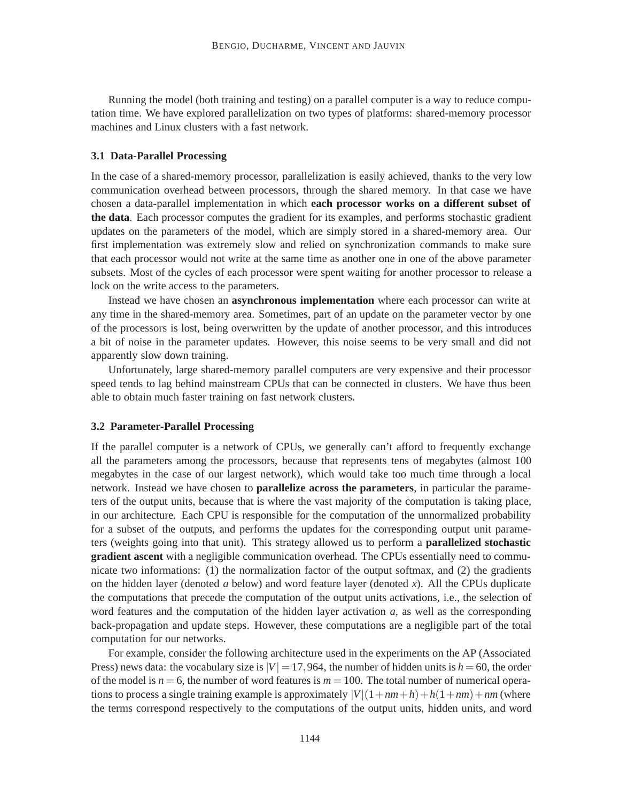Running the model (both training and testing) on a parallel computer is a way to reduce computation time. We have explored parallelization on two types of platforms: shared-memory processor machines and Linux clusters with a fast network.

## **3.1 Data-Parallel Processing**

In the case of a shared-memory processor, parallelization is easily achieved, thanks to the very low communication overhead between processors, through the shared memory. In that case we have chosen a data-parallel implementation in which **each processor works on a different subset of the data**. Each processor computes the gradient for its examples, and performs stochastic gradient updates on the parameters of the model, which are simply stored in a shared-memory area. Our first implementation was extremely slow and relied on synchronization commands to make sure that each processor would not write at the same time as another one in one of the above parameter subsets. Most of the cycles of each processor were spent waiting for another processor to release a lock on the write access to the parameters.

Instead we have chosen an **asynchronous implementation** where each processor can write at any time in the shared-memory area. Sometimes, part of an update on the parameter vector by one of the processors is lost, being overwritten by the update of another processor, and this introduces a bit of noise in the parameter updates. However, this noise seems to be very small and did not apparently slow down training.

Unfortunately, large shared-memory parallel computers are very expensive and their processor speed tends to lag behind mainstream CPUs that can be connected in clusters. We have thus been able to obtain much faster training on fast network clusters.

#### **3.2 Parameter-Parallel Processing**

If the parallel computer is a network of CPUs, we generally can't afford to frequently exchange all the parameters among the processors, because that represents tens of megabytes (almost 100 megabytes in the case of our largest network), which would take too much time through a local network. Instead we have chosen to **parallelize across the parameters**, in particular the parameters of the output units, because that is where the vast majority of the computation is taking place, in our architecture. Each CPU is responsible for the computation of the unnormalized probability for a subset of the outputs, and performs the updates for the corresponding output unit parameters (weights going into that unit). This strategy allowed us to perform a **parallelized stochastic gradient ascent** with a negligible communication overhead. The CPUs essentially need to communicate two informations: (1) the normalization factor of the output softmax, and (2) the gradients on the hidden layer (denoted *a* below) and word feature layer (denoted *x*). All the CPUs duplicate the computations that precede the computation of the output units activations, i.e., the selection of word features and the computation of the hidden layer activation *a*, as well as the corresponding back-propagation and update steps. However, these computations are a negligible part of the total computation for our networks.

For example, consider the following architecture used in the experiments on the AP (Associated Press) news data: the vocabulary size is  $|V| = 17,964$ , the number of hidden units is  $h = 60$ , the order of the model is  $n = 6$ , the number of word features is  $m = 100$ . The total number of numerical operations to process a single training example is approximately  $|V|(1+nm+h)+h(1+nm)+nm$  (where the terms correspond respectively to the computations of the output units, hidden units, and word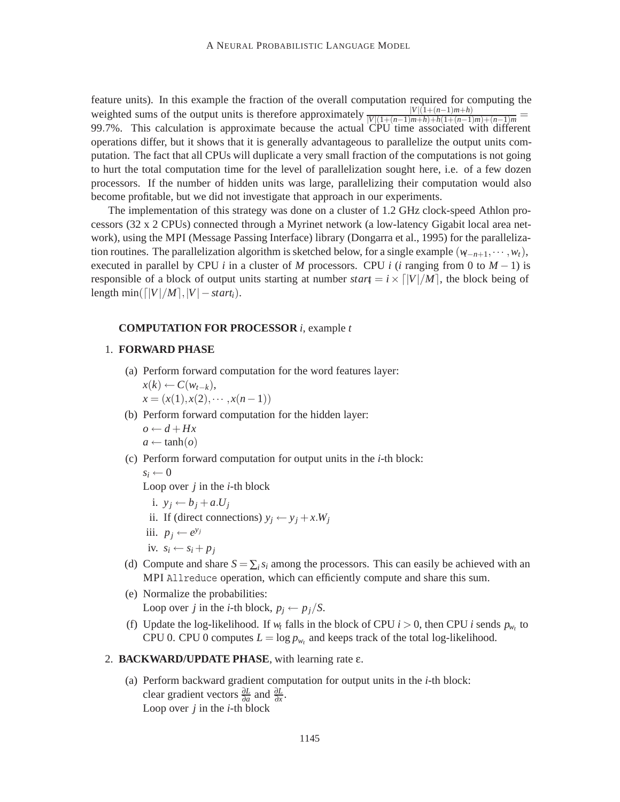feature units). In this example the fraction of the overall computation required for computing the weighted sums of the output units is therefore approximately  $\frac{|V|(1+(n-1)m+h)}{|V|(1+(n-1)m+h)+(1+(n-1)m)+(n-1)m}$  = 99.7%. This calculation is approximate because the actual CPU time associated with different operations differ, but it shows that it is generally advantageous to parallelize the output units computation. The fact that all CPUs will duplicate a very small fraction of the computations is not going to hurt the total computation time for the level of parallelization sought here, i.e. of a few dozen processors. If the number of hidden units was large, parallelizing their computation would also become profitable, but we did not investigate that approach in our experiments.

The implementation of this strategy was done on a cluster of 1.2 GHz clock-speed Athlon processors (32 x 2 CPUs) connected through a Myrinet network (a low-latency Gigabit local area network), using the MPI (Message Passing Interface) library (Dongarra et al., 1995) for the parallelization routines. The parallelization algorithm is sketched below, for a single example  $(\psi_{-n+1}, \dots, \psi_t)$ , executed in parallel by CPU *i* in a cluster of *M* processors. CPU *i* (*i* ranging from 0 to  $M-1$ ) is responsible of a block of output units starting at number  $start = i \times \frac{|V|}{M}$ , the block being of length min( $\lceil |V|/|M|, |V| - start_i$ ).

#### **COMPUTATION FOR PROCESSOR** *i*, example *t*

## 1. **FORWARD PHASE**

(a) Perform forward computation for the word features layer:

$$
x(k) \leftarrow C(w_{t-k}), x = (x(1), x(2), \cdots, x(n-1))
$$

- (b) Perform forward computation for the hidden layer:  $o \leftarrow d + Hx$ 
	- $a \leftarrow \tanh(o)$
- (c) Perform forward computation for output units in the *i*-th block:  $s_i \leftarrow 0$

Loop over *j* in the *i*-th block

- i.  $y_j \leftarrow b_j + a_i U_j$
- ii. If (direct connections)  $y_i \leftarrow y_i + x \cdot W_i$
- iii.  $p_j ← e^{y_j}$
- iv.  $s_i \leftarrow s_i + p_j$
- (d) Compute and share  $S = \sum_i s_i$  among the processors. This can easily be achieved with an MPI Allreduce operation, which can efficiently compute and share this sum.
- (e) Normalize the probabilities: Loop over *j* in the *i*-th block,  $p_i \leftarrow p_j/S$ .
- (f) Update the log-likelihood. If  $w_t$  falls in the block of CPU  $i > 0$ , then CPU  $i$  sends  $p_{w_t}$  to CPU 0. CPU 0 computes  $L = \log p_{w_t}$  and keeps track of the total log-likelihood.

#### 2. **BACKWARD/UPDATE PHASE**, with learning rate ε.

(a) Perform backward gradient computation for output units in the *i*-th block: clear gradient vectors  $\frac{\partial L}{\partial a}$  and  $\frac{\partial L}{\partial x}$ . Loop over *j* in the *i*-th block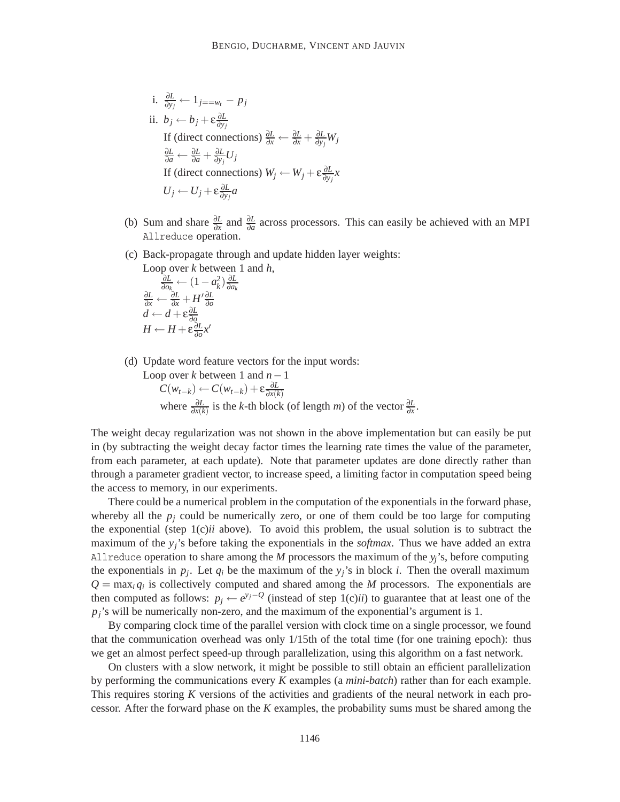i. 
$$
\frac{\partial L}{\partial y_j} \leftarrow 1_{j == w_i} - p_j
$$
  
\nii.  $b_j \leftarrow b_j + \varepsilon \frac{\partial L}{\partial y_j}$   
\nIf (direct connections)  $\frac{\partial L}{\partial x} \leftarrow \frac{\partial L}{\partial x} + \frac{\partial L}{\partial y_j} W_j$   
\n $\frac{\partial L}{\partial a} \leftarrow \frac{\partial L}{\partial a} + \frac{\partial L}{\partial y_j} U_j$   
\nIf (direct connections)  $W_j \leftarrow W_j + \varepsilon \frac{\partial L}{\partial y_j} x$   
\n $U_j \leftarrow U_j + \varepsilon \frac{\partial L}{\partial y_j} a$ 

- (b) Sum and share  $\frac{\partial L}{\partial x}$  and  $\frac{\partial L}{\partial a}$  across processors. This can easily be achieved with an MPI Allreduce operation.
- (c) Back-propagate through and update hidden layer weights:
	- Loop over *k* between 1 and *h*,

$$
\frac{\frac{\partial L}{\partial o_k}}{\frac{\partial L}{\partial x}} \leftarrow \frac{(1 - a_k^2)}{\frac{\partial L}{\partial x}} \frac{\frac{\partial L}{\partial x}}{\frac{\partial L}{\partial x}}
$$
\n
$$
d \leftarrow d + \varepsilon \frac{\partial L}{\partial o}
$$
\n
$$
H \leftarrow H + \varepsilon \frac{\partial L}{\partial o} x'
$$

(d) Update word feature vectors for the input words:

Loop over *k* between 1 and *n*−1  $C(w_{t-k}) \leftarrow C(w_{t-k}) + \varepsilon \frac{\partial L}{\partial x(k)}$ where  $\frac{\partial L}{\partial x(k)}$  is the *k*-th block (of length *m*) of the vector  $\frac{\partial L}{\partial x}$ .

The weight decay regularization was not shown in the above implementation but can easily be put in (by subtracting the weight decay factor times the learning rate times the value of the parameter, from each parameter, at each update). Note that parameter updates are done directly rather than through a parameter gradient vector, to increase speed, a limiting factor in computation speed being the access to memory, in our experiments.

There could be a numerical problem in the computation of the exponentials in the forward phase, whereby all the  $p_i$  could be numerically zero, or one of them could be too large for computing the exponential (step 1(c)*ii* above). To avoid this problem, the usual solution is to subtract the maximum of the *yj*'s before taking the exponentials in the *softmax*. Thus we have added an extra Allreduce operation to share among the *M* processors the maximum of the *yj*'s, before computing the exponentials in  $p_i$ . Let  $q_i$  be the maximum of the  $y_i$ 's in block *i*. Then the overall maximum  $Q = \max_i q_i$  is collectively computed and shared among the *M* processors. The exponentials are then computed as follows:  $p_j \leftarrow e^{y_j-Q}$  (instead of step 1(c)*ii*) to guarantee that at least one of the  $p_j$ 's will be numerically non-zero, and the maximum of the exponential's argument is 1.

By comparing clock time of the parallel version with clock time on a single processor, we found that the communication overhead was only 1/15th of the total time (for one training epoch): thus we get an almost perfect speed-up through parallelization, using this algorithm on a fast network.

On clusters with a slow network, it might be possible to still obtain an efficient parallelization by performing the communications every *K* examples (a *mini-batch*) rather than for each example. This requires storing *K* versions of the activities and gradients of the neural network in each processor. After the forward phase on the *K* examples, the probability sums must be shared among the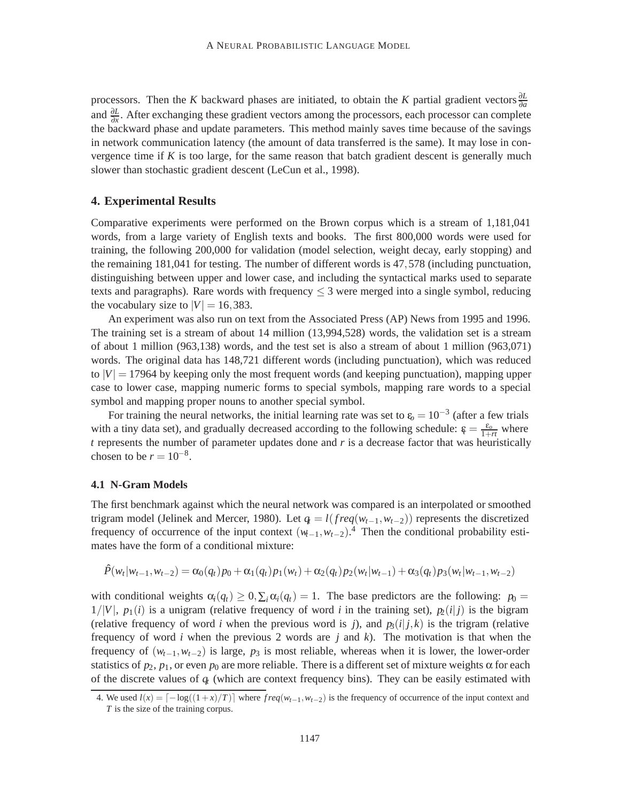processors. Then the *K* backward phases are initiated, to obtain the *K* partial gradient vectors  $\frac{\partial L}{\partial a}$ and <sup>∂</sup>*<sup>L</sup>* <sup>∂</sup>*<sup>x</sup>* . After exchanging these gradient vectors among the processors, each processor can complete the backward phase and update parameters. This method mainly saves time because of the savings in network communication latency (the amount of data transferred is the same). It may lose in convergence time if *K* is too large, for the same reason that batch gradient descent is generally much slower than stochastic gradient descent (LeCun et al., 1998).

## **4. Experimental Results**

Comparative experiments were performed on the Brown corpus which is a stream of 1,181,041 words, from a large variety of English texts and books. The first 800,000 words were used for training, the following 200,000 for validation (model selection, weight decay, early stopping) and the remaining 181,041 for testing. The number of different words is 47*,*578 (including punctuation, distinguishing between upper and lower case, and including the syntactical marks used to separate texts and paragraphs). Rare words with frequency  $\leq$  3 were merged into a single symbol, reducing the vocabulary size to  $|V| = 16,383$ .

An experiment was also run on text from the Associated Press (AP) News from 1995 and 1996. The training set is a stream of about 14 million (13,994,528) words, the validation set is a stream of about 1 million (963,138) words, and the test set is also a stream of about 1 million (963,071) words. The original data has 148,721 different words (including punctuation), which was reduced to  $|V| = 17964$  by keeping only the most frequent words (and keeping punctuation), mapping upper case to lower case, mapping numeric forms to special symbols, mapping rare words to a special symbol and mapping proper nouns to another special symbol.

For training the neural networks, the initial learning rate was set to  $\epsilon_0 = 10^{-3}$  (after a few trials with a tiny data set), and gradually decreased according to the following schedule:  $\epsilon = \frac{\epsilon_o}{1+r}$  where *t* represents the number of parameter updates done and *r* is a decrease factor that was heuristically chosen to be  $r = 10^{-8}$ .

## **4.1 N-Gram Models**

The first benchmark against which the neural network was compared is an interpolated or smoothed trigram model (Jelinek and Mercer, 1980). Let  $q_t = l(freq(w_{t-1}, w_{t-2}))$  represents the discretized frequency of occurrence of the input context  $(w_{t-1}, w_{t-2})$ .<sup>4</sup> Then the conditional probability estimates have the form of a conditional mixture:

$$
\hat{P}(w_t|w_{t-1}, w_{t-2}) = \alpha_0(q_t)p_0 + \alpha_1(q_t)p_1(w_t) + \alpha_2(q_t)p_2(w_t|w_{t-1}) + \alpha_3(q_t)p_3(w_t|w_{t-1}, w_{t-2})
$$

with conditional weights  $\alpha_i(q_t) \geq 0$ ,  $\sum_i \alpha_i(q_t) = 1$ . The base predictors are the following:  $p_0 = 0$  $1/|V|$ ,  $p_1(i)$  is a unigram (relative frequency of word *i* in the training set),  $p_2(i|j)$  is the bigram (relative frequency of word *i* when the previous word is *j*), and  $p_3(i|j,k)$  is the trigram (relative frequency of word *i* when the previous 2 words are *j* and *k*). The motivation is that when the frequency of  $(w_{t-1}, w_{t-2})$  is large,  $p_3$  is most reliable, whereas when it is lower, the lower-order statistics of  $p_2$ ,  $p_1$ , or even  $p_0$  are more reliable. There is a different set of mixture weights  $\alpha$  for each of the discrete values of  $q_t$  (which are context frequency bins). They can be easily estimated with

<sup>4.</sup> We used  $l(x) = \lceil -\log((1+x)/T) \rceil$  where  $freq(w_{t-1}, w_{t-2})$  is the frequency of occurrence of the input context and *T* is the size of the training corpus.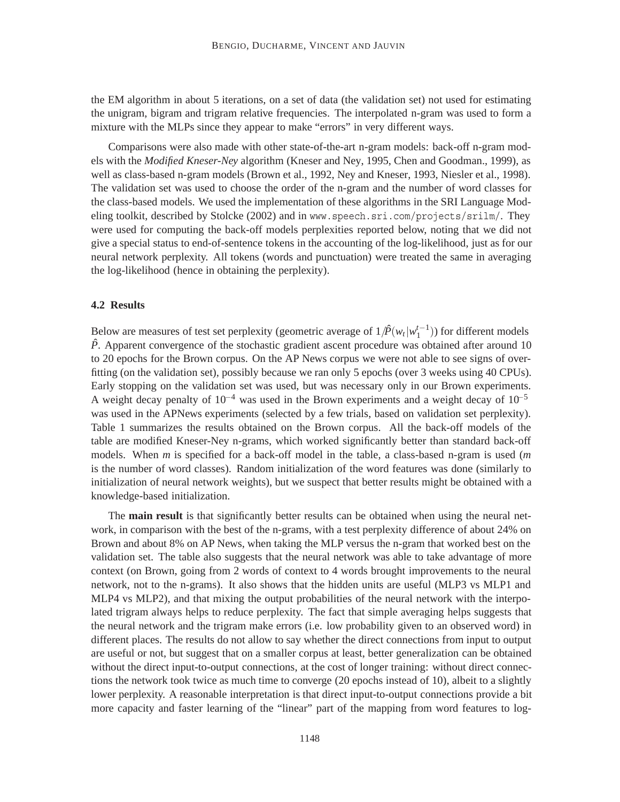the EM algorithm in about 5 iterations, on a set of data (the validation set) not used for estimating the unigram, bigram and trigram relative frequencies. The interpolated n-gram was used to form a mixture with the MLPs since they appear to make "errors" in very different ways.

Comparisons were also made with other state-of-the-art n-gram models: back-off n-gram models with the *Modified Kneser-Ney* algorithm (Kneser and Ney, 1995, Chen and Goodman., 1999), as well as class-based n-gram models (Brown et al., 1992, Ney and Kneser, 1993, Niesler et al., 1998). The validation set was used to choose the order of the n-gram and the number of word classes for the class-based models. We used the implementation of these algorithms in the SRI Language Modeling toolkit, described by Stolcke (2002) and in www.speech.sri.com/projects/srilm/. They were used for computing the back-off models perplexities reported below, noting that we did not give a special status to end-of-sentence tokens in the accounting of the log-likelihood, just as for our neural network perplexity. All tokens (words and punctuation) were treated the same in averaging the log-likelihood (hence in obtaining the perplexity).

## **4.2 Results**

Below are measures of test set perplexity (geometric average of  $1/\hat{P}(w_t | w_1^{t-1})$ ) for different models *P*ˆ. Apparent convergence of the stochastic gradient ascent procedure was obtained after around 10 to 20 epochs for the Brown corpus. On the AP News corpus we were not able to see signs of overfitting (on the validation set), possibly because we ran only 5 epochs (over 3 weeks using 40 CPUs). Early stopping on the validation set was used, but was necessary only in our Brown experiments. A weight decay penalty of 10<sup>-4</sup> was used in the Brown experiments and a weight decay of 10<sup>-5</sup> was used in the APNews experiments (selected by a few trials, based on validation set perplexity). Table 1 summarizes the results obtained on the Brown corpus. All the back-off models of the table are modified Kneser-Ney n-grams, which worked significantly better than standard back-off models. When *m* is specified for a back-off model in the table, a class-based n-gram is used (*m* is the number of word classes). Random initialization of the word features was done (similarly to initialization of neural network weights), but we suspect that better results might be obtained with a knowledge-based initialization.

The **main result** is that significantly better results can be obtained when using the neural network, in comparison with the best of the n-grams, with a test perplexity difference of about 24% on Brown and about 8% on AP News, when taking the MLP versus the n-gram that worked best on the validation set. The table also suggests that the neural network was able to take advantage of more context (on Brown, going from 2 words of context to 4 words brought improvements to the neural network, not to the n-grams). It also shows that the hidden units are useful (MLP3 vs MLP1 and MLP4 vs MLP2), and that mixing the output probabilities of the neural network with the interpolated trigram always helps to reduce perplexity. The fact that simple averaging helps suggests that the neural network and the trigram make errors (i.e. low probability given to an observed word) in different places. The results do not allow to say whether the direct connections from input to output are useful or not, but suggest that on a smaller corpus at least, better generalization can be obtained without the direct input-to-output connections, at the cost of longer training: without direct connections the network took twice as much time to converge (20 epochs instead of 10), albeit to a slightly lower perplexity. A reasonable interpretation is that direct input-to-output connections provide a bit more capacity and faster learning of the "linear" part of the mapping from word features to log-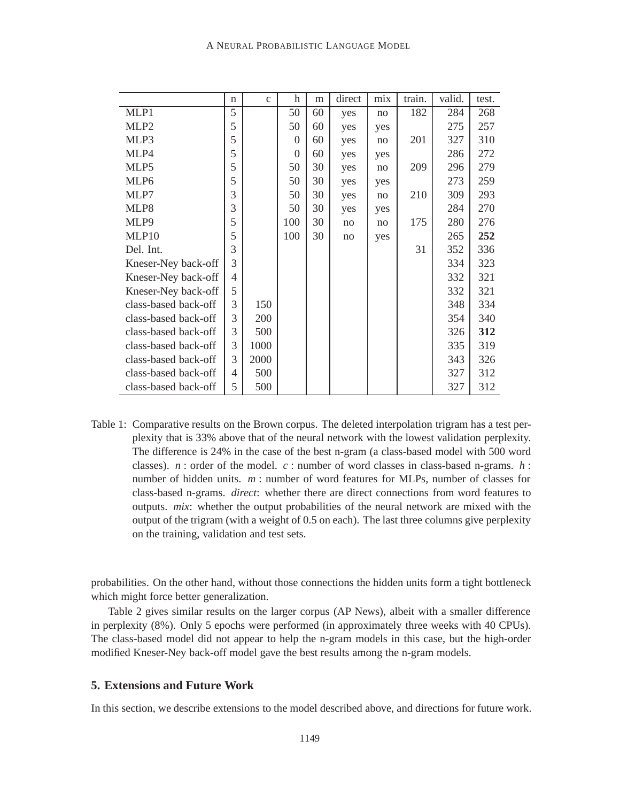|                      | $\mathbf n$ | $\mathbf{C}$ | h              | m  | direct | mix | train. | valid. | test. |
|----------------------|-------------|--------------|----------------|----|--------|-----|--------|--------|-------|
| MLP1                 | 5           |              | 50             | 60 | yes    | no  | 182    | 284    | 268   |
| MLP <sub>2</sub>     | 5           |              | 50             | 60 | yes    | yes |        | 275    | 257   |
| MLP3                 | 5           |              | $\overline{0}$ | 60 | yes    | no  | 201    | 327    | 310   |
| MLP4                 | 5           |              | $\overline{0}$ | 60 | yes    | yes |        | 286    | 272   |
| MLP <sub>5</sub>     | 5           |              | 50             | 30 | yes    | no  | 209    | 296    | 279   |
| MLP <sub>6</sub>     | 5           |              | 50             | 30 | yes    | yes |        | 273    | 259   |
| MLP7                 | 3           |              | 50             | 30 | yes    | no  | 210    | 309    | 293   |
| MLP8                 | 3           |              | 50             | 30 | yes    | yes |        | 284    | 270   |
| MLP <sub>9</sub>     | 5           |              | 100            | 30 | no     | no  | 175    | 280    | 276   |
| MLP10                | 5           |              | 100            | 30 | no     | yes |        | 265    | 252   |
| Del. Int.            | 3           |              |                |    |        |     | 31     | 352    | 336   |
| Kneser-Ney back-off  | 3           |              |                |    |        |     |        | 334    | 323   |
| Kneser-Ney back-off  | 4           |              |                |    |        |     |        | 332    | 321   |
| Kneser-Ney back-off  | 5           |              |                |    |        |     |        | 332    | 321   |
| class-based back-off | 3           | 150          |                |    |        |     |        | 348    | 334   |
| class-based back-off | 3           | 200          |                |    |        |     |        | 354    | 340   |
| class-based back-off | 3           | 500          |                |    |        |     |        | 326    | 312   |
| class-based back-off | 3           | 1000         |                |    |        |     |        | 335    | 319   |
| class-based back-off | 3           | 2000         |                |    |        |     |        | 343    | 326   |
| class-based back-off | 4           | 500          |                |    |        |     |        | 327    | 312   |
| class-based back-off | 5           | 500          |                |    |        |     |        | 327    | 312   |

Table 1: Comparative results on the Brown corpus. The deleted interpolation trigram has a test perplexity that is 33% above that of the neural network with the lowest validation perplexity. The difference is 24% in the case of the best n-gram (a class-based model with 500 word classes). *n* : order of the model. *c* : number of word classes in class-based n-grams. *h* : number of hidden units. *m* : number of word features for MLPs, number of classes for class-based n-grams. *direct*: whether there are direct connections from word features to outputs. *mix*: whether the output probabilities of the neural network are mixed with the output of the trigram (with a weight of 0.5 on each). The last three columns give perplexity on the training, validation and test sets.

probabilities. On the other hand, without those connections the hidden units form a tight bottleneck which might force better generalization.

Table 2 gives similar results on the larger corpus (AP News), albeit with a smaller difference in perplexity (8%). Only 5 epochs were performed (in approximately three weeks with 40 CPUs). The class-based model did not appear to help the n-gram models in this case, but the high-order modified Kneser-Ney back-off model gave the best results among the n-gram models.

## **5. Extensions and Future Work**

In this section, we describe extensions to the model described above, and directions for future work.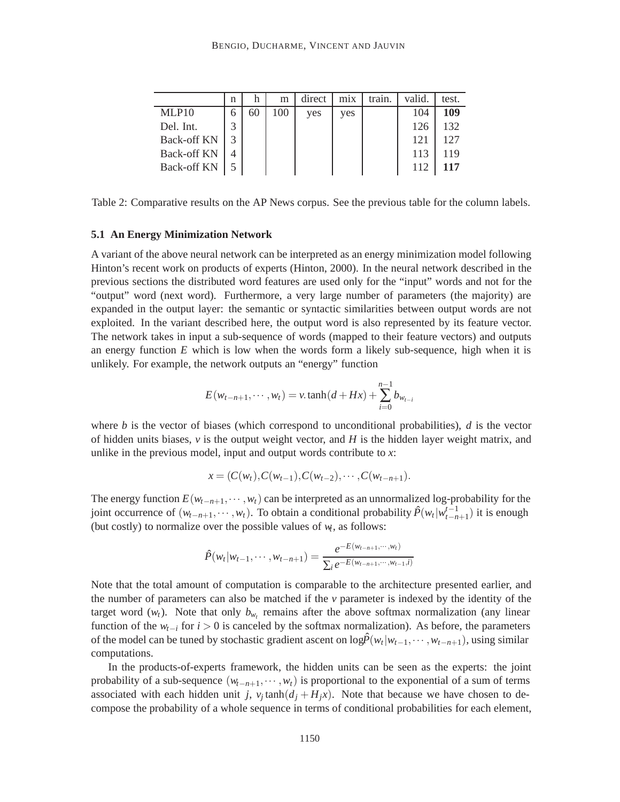|                    | n |    | m   | direct | m <sub>1</sub> x | train. | valid. | test. |
|--------------------|---|----|-----|--------|------------------|--------|--------|-------|
| MLP10              | 6 | 60 | 100 | yes    | yes              |        | 104    | 109   |
| Del. Int.          | 3 |    |     |        |                  |        | 126    | 132   |
| <b>Back-off KN</b> |   |    |     |        |                  |        | 121    | 127   |
| <b>Back-off KN</b> |   |    |     |        |                  |        | 113    | 119   |
| <b>Back-off KN</b> |   |    |     |        |                  |        |        | 117   |

Table 2: Comparative results on the AP News corpus. See the previous table for the column labels.

#### **5.1 An Energy Minimization Network**

A variant of the above neural network can be interpreted as an energy minimization model following Hinton's recent work on products of experts (Hinton, 2000). In the neural network described in the previous sections the distributed word features are used only for the "input" words and not for the "output" word (next word). Furthermore, a very large number of parameters (the majority) are expanded in the output layer: the semantic or syntactic similarities between output words are not exploited. In the variant described here, the output word is also represented by its feature vector. The network takes in input a sub-sequence of words (mapped to their feature vectors) and outputs an energy function *E* which is low when the words form a likely sub-sequence, high when it is unlikely. For example, the network outputs an "energy" function

$$
E(w_{t-n+1}, \cdots, w_t) = v \cdot \tanh(d + Hx) + \sum_{i=0}^{n-1} b_{w_{t-i}}
$$

where  $b$  is the vector of biases (which correspond to unconditional probabilities),  $d$  is the vector of hidden units biases,  $\nu$  is the output weight vector, and  $H$  is the hidden layer weight matrix, and unlike in the previous model, input and output words contribute to *x*:

$$
x = (C(w_t), C(w_{t-1}), C(w_{t-2}), \cdots, C(w_{t-n+1}).
$$

The energy function  $E(w_{t-n+1}, \dots, w_t)$  can be interpreted as an unnormalized log-probability for the joint occurrence of  $(w_{t-n+1}, \dots, w_t)$ . To obtain a conditional probability  $\hat{P}(w_t|w_{t-n+1}^{t-1})$  it is enough (but costly) to normalize over the possible values of  $w_t$ , as follows:

$$
\hat{P}(w_t|w_{t-1},\cdots,w_{t-n+1}) = \frac{e^{-E(w_{t-n+1},\cdots,w_t)}}{\sum_i e^{-E(w_{t-n+1},\cdots,w_{t-1},i)}}
$$

Note that the total amount of computation is comparable to the architecture presented earlier, and the number of parameters can also be matched if the *v* parameter is indexed by the identity of the target word  $(w_t)$ . Note that only  $b_{w_t}$  remains after the above softmax normalization (any linear function of the *wt*−*<sup>i</sup>* for *i >* 0 is canceled by the softmax normalization). As before, the parameters of the model can be tuned by stochastic gradient ascent on  $\log \hat{P}(w_t|w_{t-1}, \dots, w_{t-n+1})$ , using similar computations.

In the products-of-experts framework, the hidden units can be seen as the experts: the joint probability of a sub-sequence  $(w_{t-n+1}, \dots, w_t)$  is proportional to the exponential of a sum of terms associated with each hidden unit *j*,  $v_j$  tanh $(d_j + H_j x)$ . Note that because we have chosen to decompose the probability of a whole sequence in terms of conditional probabilities for each element,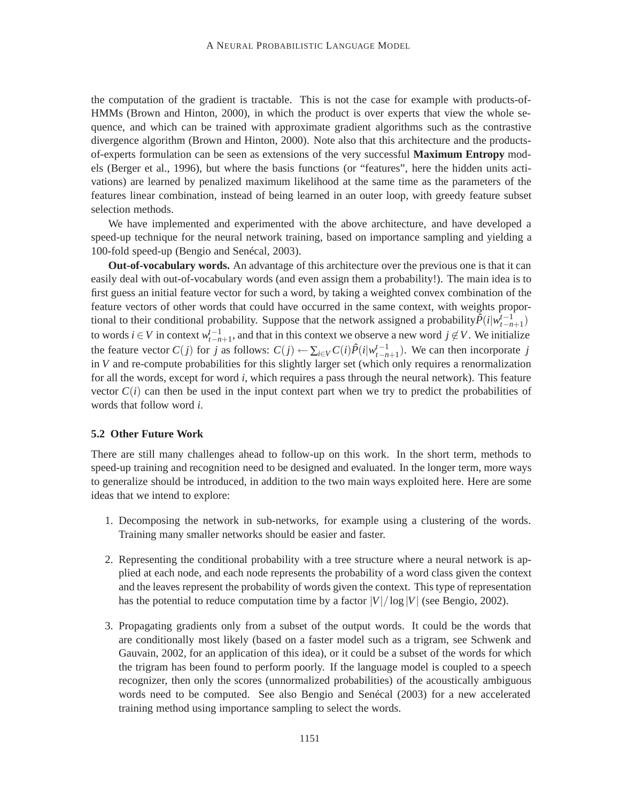the computation of the gradient is tractable. This is not the case for example with products-of-HMMs (Brown and Hinton, 2000), in which the product is over experts that view the whole sequence, and which can be trained with approximate gradient algorithms such as the contrastive divergence algorithm (Brown and Hinton, 2000). Note also that this architecture and the productsof-experts formulation can be seen as extensions of the very successful **Maximum Entropy** models (Berger et al., 1996), but where the basis functions (or "features", here the hidden units activations) are learned by penalized maximum likelihood at the same time as the parameters of the features linear combination, instead of being learned in an outer loop, with greedy feature subset selection methods.

We have implemented and experimented with the above architecture, and have developed a speed-up technique for the neural network training, based on importance sampling and yielding a 100-fold speed-up (Bengio and Senécal, 2003).

**Out-of-vocabulary words.** An advantage of this architecture over the previous one is that it can easily deal with out-of-vocabulary words (and even assign them a probability!). The main idea is to first guess an initial feature vector for such a word, by taking a weighted convex combination of the feature vectors of other words that could have occurred in the same context, with weights proportional to their conditional probability. Suppose that the network assigned a probability $\hat{P}(i|w_{t-n+1}^{t-1})$ to words *i* ∈ *V* in context  $w_{t-n+1}^{t-1}$ , and that in this context we observe a new word  $j \notin V$ . We initialize the feature vector  $C(j)$  for *j* as follows:  $C(j) \leftarrow \sum_{i \in V} C(i) \hat{P}(i|w_{t-n+1}^{t-1})$ . We can then incorporate *j* in *V* and re-compute probabilities for this slightly larger set (which only requires a renormalization for all the words, except for word *i*, which requires a pass through the neural network). This feature vector  $C(i)$  can then be used in the input context part when we try to predict the probabilities of words that follow word *i*.

## **5.2 Other Future Work**

There are still many challenges ahead to follow-up on this work. In the short term, methods to speed-up training and recognition need to be designed and evaluated. In the longer term, more ways to generalize should be introduced, in addition to the two main ways exploited here. Here are some ideas that we intend to explore:

- 1. Decomposing the network in sub-networks, for example using a clustering of the words. Training many smaller networks should be easier and faster.
- 2. Representing the conditional probability with a tree structure where a neural network is applied at each node, and each node represents the probability of a word class given the context and the leaves represent the probability of words given the context. This type of representation has the potential to reduce computation time by a factor  $|V|/\log |V|$  (see Bengio, 2002).
- 3. Propagating gradients only from a subset of the output words. It could be the words that are conditionally most likely (based on a faster model such as a trigram, see Schwenk and Gauvain, 2002, for an application of this idea), or it could be a subset of the words for which the trigram has been found to perform poorly. If the language model is coupled to a speech recognizer, then only the scores (unnormalized probabilities) of the acoustically ambiguous words need to be computed. See also Bengio and Senécal (2003) for a new accelerated training method using importance sampling to select the words.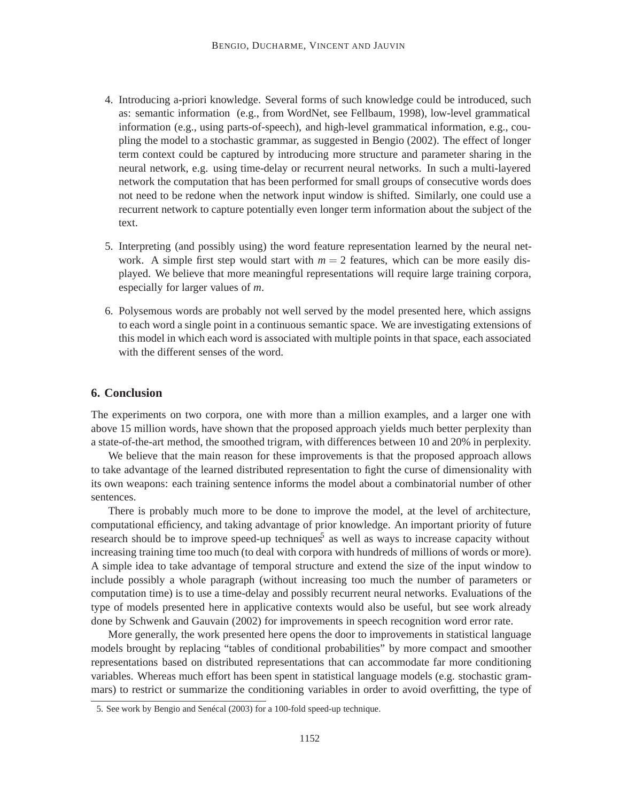- 4. Introducing a-priori knowledge. Several forms of such knowledge could be introduced, such as: semantic information (e.g., from WordNet, see Fellbaum, 1998), low-level grammatical information (e.g., using parts-of-speech), and high-level grammatical information, e.g., coupling the model to a stochastic grammar, as suggested in Bengio (2002). The effect of longer term context could be captured by introducing more structure and parameter sharing in the neural network, e.g. using time-delay or recurrent neural networks. In such a multi-layered network the computation that has been performed for small groups of consecutive words does not need to be redone when the network input window is shifted. Similarly, one could use a recurrent network to capture potentially even longer term information about the subject of the text.
- 5. Interpreting (and possibly using) the word feature representation learned by the neural network. A simple first step would start with  $m = 2$  features, which can be more easily displayed. We believe that more meaningful representations will require large training corpora, especially for larger values of *m*.
- 6. Polysemous words are probably not well served by the model presented here, which assigns to each word a single point in a continuous semantic space. We are investigating extensions of this model in which each word is associated with multiple points in that space, each associated with the different senses of the word.

## **6. Conclusion**

The experiments on two corpora, one with more than a million examples, and a larger one with above 15 million words, have shown that the proposed approach yields much better perplexity than a state-of-the-art method, the smoothed trigram, with differences between 10 and 20% in perplexity.

We believe that the main reason for these improvements is that the proposed approach allows to take advantage of the learned distributed representation to fight the curse of dimensionality with its own weapons: each training sentence informs the model about a combinatorial number of other sentences.

There is probably much more to be done to improve the model, at the level of architecture, computational efficiency, and taking advantage of prior knowledge. An important priority of future research should be to improve speed-up techniques<sup>5</sup> as well as ways to increase capacity without increasing training time too much (to deal with corpora with hundreds of millions of words or more). A simple idea to take advantage of temporal structure and extend the size of the input window to include possibly a whole paragraph (without increasing too much the number of parameters or computation time) is to use a time-delay and possibly recurrent neural networks. Evaluations of the type of models presented here in applicative contexts would also be useful, but see work already done by Schwenk and Gauvain (2002) for improvements in speech recognition word error rate.

More generally, the work presented here opens the door to improvements in statistical language models brought by replacing "tables of conditional probabilities" by more compact and smoother representations based on distributed representations that can accommodate far more conditioning variables. Whereas much effort has been spent in statistical language models (e.g. stochastic grammars) to restrict or summarize the conditioning variables in order to avoid overfitting, the type of

<sup>5.</sup> See work by Bengio and Senécal (2003) for a 100-fold speed-up technique.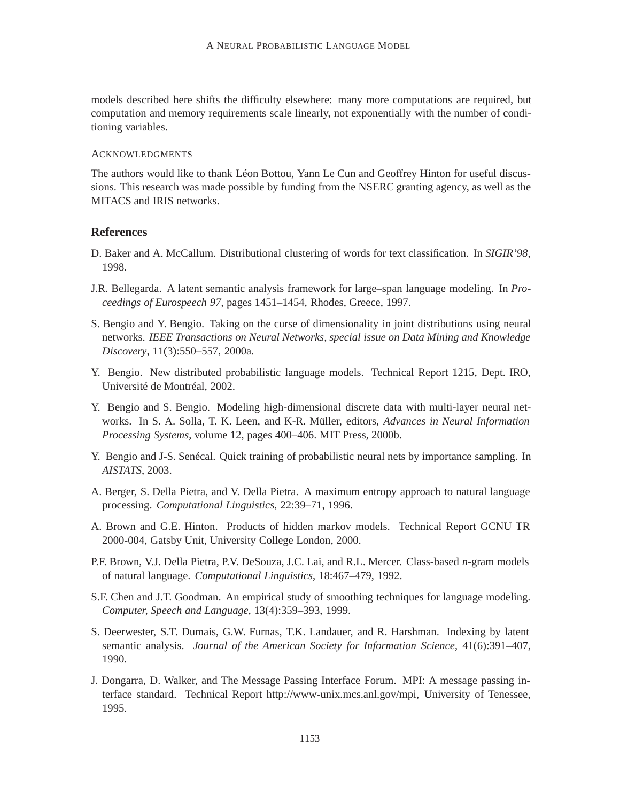models described here shifts the difficulty elsewhere: many more computations are required, but computation and memory requirements scale linearly, not exponentially with the number of conditioning variables.

### ACKNOWLEDGMENTS

The authors would like to thank Léon Bottou, Yann Le Cun and Geoffrey Hinton for useful discussions. This research was made possible by funding from the NSERC granting agency, as well as the MITACS and IRIS networks.

## **References**

- D. Baker and A. McCallum. Distributional clustering of words for text classification. In *SIGIR'98*, 1998.
- J.R. Bellegarda. A latent semantic analysis framework for large–span language modeling. In *Proceedings of Eurospeech 97*, pages 1451–1454, Rhodes, Greece, 1997.
- S. Bengio and Y. Bengio. Taking on the curse of dimensionality in joint distributions using neural networks. *IEEE Transactions on Neural Networks, special issue on Data Mining and Knowledge Discovery*, 11(3):550–557, 2000a.
- Y. Bengio. New distributed probabilistic language models. Technical Report 1215, Dept. IRO, Université de Montréal, 2002.
- Y. Bengio and S. Bengio. Modeling high-dimensional discrete data with multi-layer neural networks. In S. A. Solla, T. K. Leen, and K-R. Müller, editors, *Advances in Neural Information Processing Systems*, volume 12, pages 400–406. MIT Press, 2000b.
- Y. Bengio and J-S. Senécal. Quick training of probabilistic neural nets by importance sampling. In *AISTATS*, 2003.
- A. Berger, S. Della Pietra, and V. Della Pietra. A maximum entropy approach to natural language processing. *Computational Linguistics*, 22:39–71, 1996.
- A. Brown and G.E. Hinton. Products of hidden markov models. Technical Report GCNU TR 2000-004, Gatsby Unit, University College London, 2000.
- P.F. Brown, V.J. Della Pietra, P.V. DeSouza, J.C. Lai, and R.L. Mercer. Class-based *n*-gram models of natural language. *Computational Linguistics*, 18:467–479, 1992.
- S.F. Chen and J.T. Goodman. An empirical study of smoothing techniques for language modeling. *Computer, Speech and Language*, 13(4):359–393, 1999.
- S. Deerwester, S.T. Dumais, G.W. Furnas, T.K. Landauer, and R. Harshman. Indexing by latent semantic analysis. *Journal of the American Society for Information Science*, 41(6):391–407, 1990.
- J. Dongarra, D. Walker, and The Message Passing Interface Forum. MPI: A message passing interface standard. Technical Report http://www-unix.mcs.anl.gov/mpi, University of Tenessee, 1995.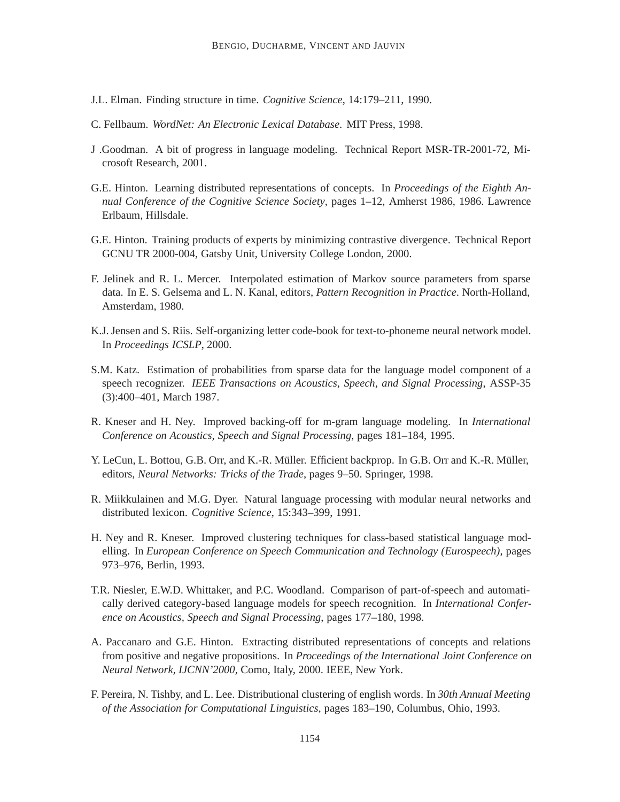- J.L. Elman. Finding structure in time. *Cognitive Science*, 14:179–211, 1990.
- C. Fellbaum. *WordNet: An Electronic Lexical Database*. MIT Press, 1998.
- J .Goodman. A bit of progress in language modeling. Technical Report MSR-TR-2001-72, Microsoft Research, 2001.
- G.E. Hinton. Learning distributed representations of concepts. In *Proceedings of the Eighth Annual Conference of the Cognitive Science Society*, pages 1–12, Amherst 1986, 1986. Lawrence Erlbaum, Hillsdale.
- G.E. Hinton. Training products of experts by minimizing contrastive divergence. Technical Report GCNU TR 2000-004, Gatsby Unit, University College London, 2000.
- F. Jelinek and R. L. Mercer. Interpolated estimation of Markov source parameters from sparse data. In E. S. Gelsema and L. N. Kanal, editors, *Pattern Recognition in Practice*. North-Holland, Amsterdam, 1980.
- K.J. Jensen and S. Riis. Self-organizing letter code-book for text-to-phoneme neural network model. In *Proceedings ICSLP*, 2000.
- S.M. Katz. Estimation of probabilities from sparse data for the language model component of a speech recognizer. *IEEE Transactions on Acoustics, Speech, and Signal Processing*, ASSP-35 (3):400–401, March 1987.
- R. Kneser and H. Ney. Improved backing-off for m-gram language modeling. In *International Conference on Acoustics, Speech and Signal Processing*, pages 181–184, 1995.
- Y. LeCun, L. Bottou, G.B. Orr, and K.-R. Müller. Efficient backprop. In G.B. Orr and K.-R. Müller, editors, *Neural Networks: Tricks of the Trade*, pages 9–50. Springer, 1998.
- R. Miikkulainen and M.G. Dyer. Natural language processing with modular neural networks and distributed lexicon. *Cognitive Science*, 15:343–399, 1991.
- H. Ney and R. Kneser. Improved clustering techniques for class-based statistical language modelling. In *European Conference on Speech Communication and Technology (Eurospeech)*, pages 973–976, Berlin, 1993.
- T.R. Niesler, E.W.D. Whittaker, and P.C. Woodland. Comparison of part-of-speech and automatically derived category-based language models for speech recognition. In *International Conference on Acoustics, Speech and Signal Processing*, pages 177–180, 1998.
- A. Paccanaro and G.E. Hinton. Extracting distributed representations of concepts and relations from positive and negative propositions. In *Proceedings of the International Joint Conference on Neural Network, IJCNN'2000*, Como, Italy, 2000. IEEE, New York.
- F. Pereira, N. Tishby, and L. Lee. Distributional clustering of english words. In *30th Annual Meeting of the Association for Computational Linguistics*, pages 183–190, Columbus, Ohio, 1993.